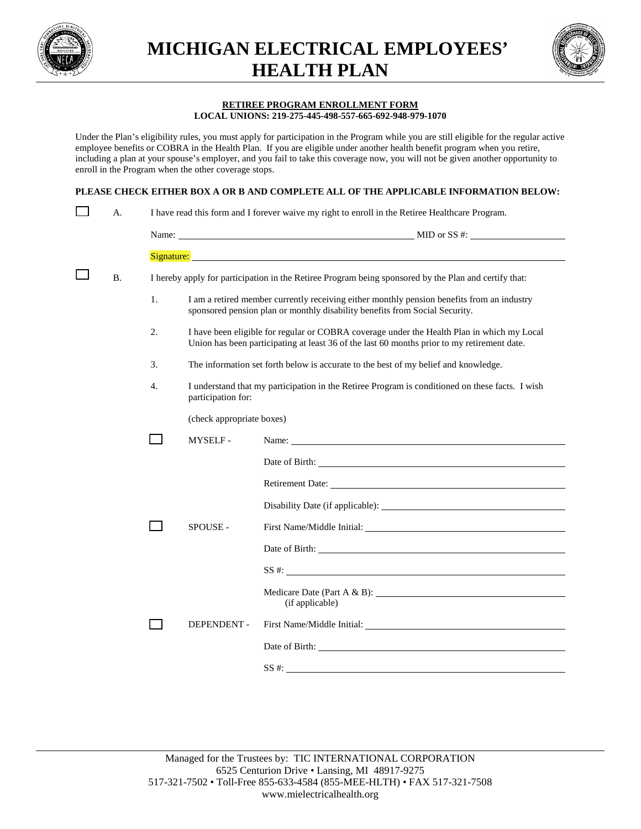



#### **RETIREE PROGRAM ENROLLMENT FORM LOCAL UNIONS: 219-275-445-498-557-665-692-948-979-1070**

Under the Plan's eligibility rules, you must apply for participation in the Program while you are still eligible for the regular active employee benefits or COBRA in the Health Plan. If you are eligible under another health benefit program when you retire, including a plan at your spouse's employer, and you fail to take this coverage now, you will not be given another opportunity to enroll in the Program when the other coverage stops.

## **PLEASE CHECK EITHER BOX A OR B AND COMPLETE ALL OF THE APPLICABLE INFORMATION BELOW:**

|  | А.        | I have read this form and I forever waive my right to enroll in the Retiree Healthcare Program.       |                                                                                                                                                                                           |                                                                                                                                                                                                                                |  |  |
|--|-----------|-------------------------------------------------------------------------------------------------------|-------------------------------------------------------------------------------------------------------------------------------------------------------------------------------------------|--------------------------------------------------------------------------------------------------------------------------------------------------------------------------------------------------------------------------------|--|--|
|  |           |                                                                                                       |                                                                                                                                                                                           |                                                                                                                                                                                                                                |  |  |
|  |           |                                                                                                       |                                                                                                                                                                                           | Signature: Signature: Signature: Signature: Signature: Signature: Signature: Signature: Signature: Signature: Signature: Signature: Signature: Signature: Signature: Signature: Signature: Signature: Signature: Signature: Si |  |  |
|  | <b>B.</b> | I hereby apply for participation in the Retiree Program being sponsored by the Plan and certify that: |                                                                                                                                                                                           |                                                                                                                                                                                                                                |  |  |
|  |           | 1.                                                                                                    | I am a retired member currently receiving either monthly pension benefits from an industry<br>sponsored pension plan or monthly disability benefits from Social Security.                 |                                                                                                                                                                                                                                |  |  |
|  |           | 2.                                                                                                    | I have been eligible for regular or COBRA coverage under the Health Plan in which my Local<br>Union has been participating at least 36 of the last 60 months prior to my retirement date. |                                                                                                                                                                                                                                |  |  |
|  |           | 3.                                                                                                    | The information set forth below is accurate to the best of my belief and knowledge.                                                                                                       |                                                                                                                                                                                                                                |  |  |
|  |           | 4.                                                                                                    | I understand that my participation in the Retiree Program is conditioned on these facts. I wish<br>participation for:                                                                     |                                                                                                                                                                                                                                |  |  |
|  |           |                                                                                                       | (check appropriate boxes)                                                                                                                                                                 |                                                                                                                                                                                                                                |  |  |
|  |           |                                                                                                       | <b>MYSELF-</b>                                                                                                                                                                            | Name: Name:                                                                                                                                                                                                                    |  |  |
|  |           |                                                                                                       |                                                                                                                                                                                           |                                                                                                                                                                                                                                |  |  |
|  |           |                                                                                                       |                                                                                                                                                                                           |                                                                                                                                                                                                                                |  |  |
|  |           |                                                                                                       |                                                                                                                                                                                           |                                                                                                                                                                                                                                |  |  |
|  |           |                                                                                                       | SPOUSE -                                                                                                                                                                                  |                                                                                                                                                                                                                                |  |  |
|  |           |                                                                                                       |                                                                                                                                                                                           | Date of Birth:                                                                                                                                                                                                                 |  |  |
|  |           |                                                                                                       |                                                                                                                                                                                           | $SS#$ :                                                                                                                                                                                                                        |  |  |
|  |           |                                                                                                       |                                                                                                                                                                                           | (if applicable)                                                                                                                                                                                                                |  |  |
|  |           |                                                                                                       | DEPENDENT -                                                                                                                                                                               |                                                                                                                                                                                                                                |  |  |
|  |           |                                                                                                       |                                                                                                                                                                                           |                                                                                                                                                                                                                                |  |  |
|  |           |                                                                                                       |                                                                                                                                                                                           | $SS \#$ :                                                                                                                                                                                                                      |  |  |